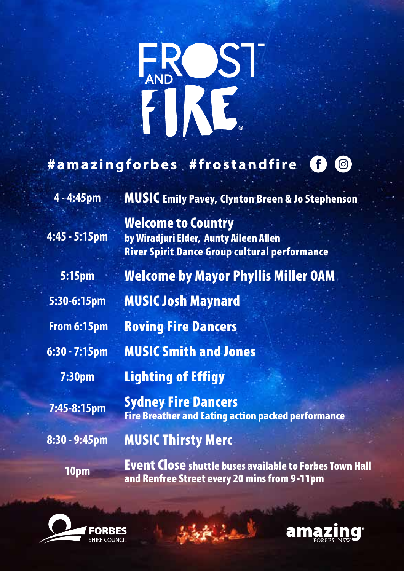

## **#amazingforbes #frostandfire**  $\odot$

**4 - 4:45pm** MUSIC Emily Pavey, Clynton Breen & Jo Stephenson

**4:45 - 5:15pm**

by Wiradjuri Elder, Aunty Aileen Allen River Spirit Dance Group cultural performance **5:15pm** Welcome by Mayor Phyllis Miller OAM **5:30-6:15pm** MUSIC Josh Maynard

 **From 6:15pm** Roving Fire Dancers

Welcome to Country

**6:30 - 7:15pm** MUSIC Smith and Jones

**7:30pm** Lighting of Effigy

**7:45-8:15pm** Sydney Fire Dancers Fire Breather and Eating action packed performance

**8:30 - 9:45pm** MUSIC Thirsty Merc

**10pm** Event Close shuttle buses available to Forbes Town Hall and Renfree Street every 20 mins from 9 -11pm